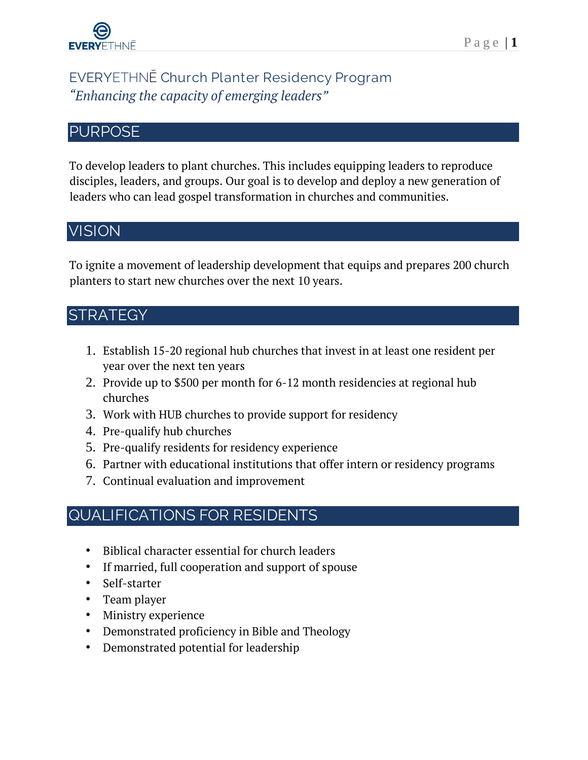

# **EVERY**ETHNĒ **Church Planter Residency Program** *"Enhancing the capacity of emerging leaders"*

#### **PURPOSE**

To develop leaders to plant churches. This includes equipping leaders to reproduce disciples, leaders, and groups. Our goal is to develop and deploy a new generation of leaders who can lead gospel transformation in churches and communities.

## **VISION**

To ignite a movement of leadership development that equips and prepares 200 church planters to start new churches over the next 10 years.

# **STRATEGY**

- 1. Establish 15-20 regional hub churches that invest in at least one resident per year over the next ten years
- 2. Provide up to \$500 per month for 6-12 month residencies at regional hub churches
- 3. Work with HUB churches to provide support for residency
- 4. Pre-qualify hub churches
- 5. Pre-qualify residents for residency experience
- 6. Partner with educational institutions that offer intern or residency programs
- 7. Continual evaluation and improvement

### **QUALIFICATIONS FOR RESIDENTS**

- Biblical character essential for church leaders
- If married, full cooperation and support of spouse
- Self-starter
- Team player
- Ministry experience
- Demonstrated proficiency in Bible and Theology
- Demonstrated potential for leadership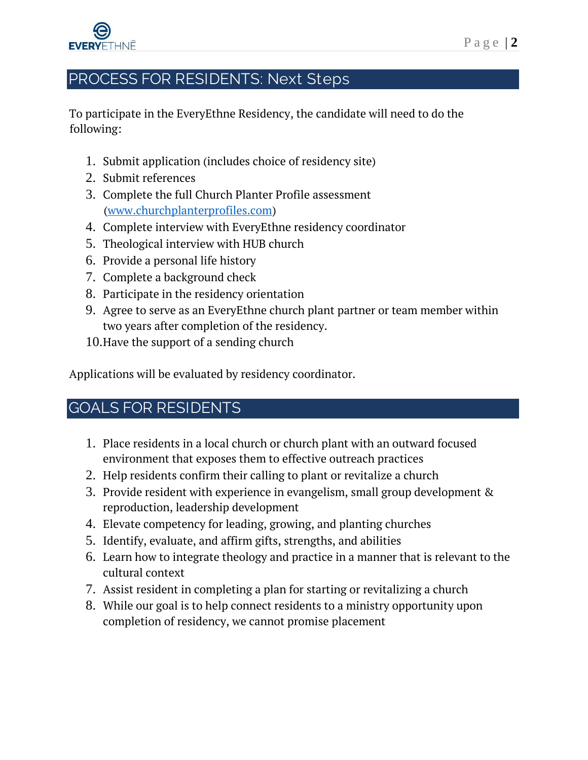

# **PROCESS FOR RESIDENTS: Next Steps**

To participate in the EveryEthne Residency, the candidate will need to do the following:

- 1. Submit application (includes choice of residency site)
- 2. Submit references
- 3. Complete the full Church Planter Profile assessment [\(www.churchplanterprofiles.com\)](http://www.churchplanterprofiles.com/)
- 4. Complete interview with EveryEthne residency coordinator
- 5. Theological interview with HUB church
- 6. Provide a personal life history
- 7. Complete a background check
- 8. Participate in the residency orientation
- 9. Agree to serve as an EveryEthne church plant partner or team member within two years after completion of the residency.
- 10.Have the support of a sending church

Applications will be evaluated by residency coordinator.

# **GOALS FOR RESIDENTS**

- 1. Place residents in a local church or church plant with an outward focused environment that exposes them to effective outreach practices
- 2. Help residents confirm their calling to plant or revitalize a church
- 3. Provide resident with experience in evangelism, small group development & reproduction, leadership development
- 4. Elevate competency for leading, growing, and planting churches
- 5. Identify, evaluate, and affirm gifts, strengths, and abilities
- 6. Learn how to integrate theology and practice in a manner that is relevant to the cultural context
- 7. Assist resident in completing a plan for starting or revitalizing a church
- 8. While our goal is to help connect residents to a ministry opportunity upon completion of residency, we cannot promise placement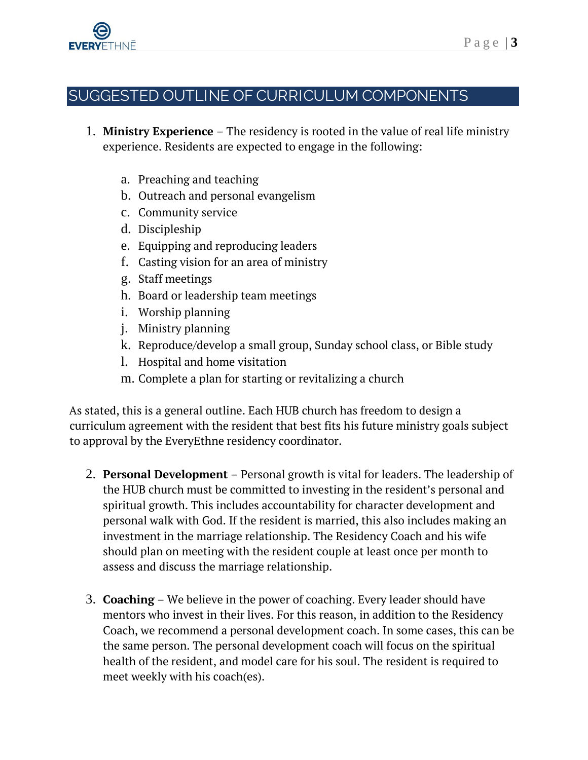

### **SUGGESTED OUTLINE OF CURRICULUM COMPONENTS**

- 1. **Ministry Experience** The residency is rooted in the value of real life ministry experience. Residents are expected to engage in the following:
	- a. Preaching and teaching
	- b. Outreach and personal evangelism
	- c. Community service
	- d. Discipleship
	- e. Equipping and reproducing leaders
	- f. Casting vision for an area of ministry
	- g. Staff meetings
	- h. Board or leadership team meetings
	- i. Worship planning
	- j. Ministry planning
	- k. Reproduce/develop a small group, Sunday school class, or Bible study
	- l. Hospital and home visitation
	- m. Complete a plan for starting or revitalizing a church

As stated, this is a general outline. Each HUB church has freedom to design a curriculum agreement with the resident that best fits his future ministry goals subject to approval by the EveryEthne residency coordinator.

- 2. **Personal Development** Personal growth is vital for leaders. The leadership of the HUB church must be committed to investing in the resident's personal and spiritual growth. This includes accountability for character development and personal walk with God. If the resident is married, this also includes making an investment in the marriage relationship. The Residency Coach and his wife should plan on meeting with the resident couple at least once per month to assess and discuss the marriage relationship.
- 3. **Coaching** We believe in the power of coaching. Every leader should have mentors who invest in their lives. For this reason, in addition to the Residency Coach, we recommend a personal development coach. In some cases, this can be the same person. The personal development coach will focus on the spiritual health of the resident, and model care for his soul. The resident is required to meet weekly with his coach(es).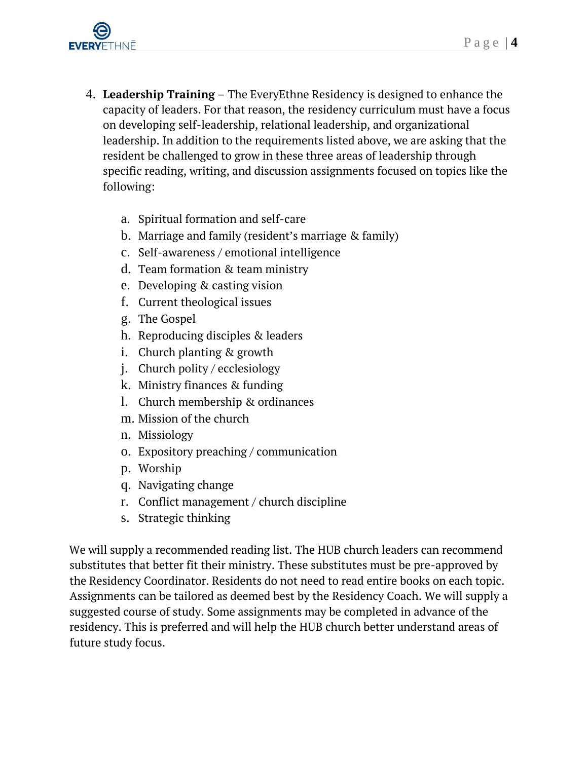

- 4. **Leadership Training** The EveryEthne Residency is designed to enhance the capacity of leaders. For that reason, the residency curriculum must have a focus on developing self-leadership, relational leadership, and organizational leadership. In addition to the requirements listed above, we are asking that the resident be challenged to grow in these three areas of leadership through specific reading, writing, and discussion assignments focused on topics like the following:
	- a. Spiritual formation and self-care
	- b. Marriage and family (resident's marriage & family)
	- c. Self-awareness / emotional intelligence
	- d. Team formation & team ministry
	- e. Developing & casting vision
	- f. Current theological issues
	- g. The Gospel
	- h. Reproducing disciples & leaders
	- i. Church planting & growth
	- j. Church polity / ecclesiology
	- k. Ministry finances & funding
	- l. Church membership & ordinances
	- m. Mission of the church
	- n. Missiology
	- o. Expository preaching / communication
	- p. Worship
	- q. Navigating change
	- r. Conflict management / church discipline
	- s. Strategic thinking

We will supply a recommended reading list. The HUB church leaders can recommend substitutes that better fit their ministry. These substitutes must be pre-approved by the Residency Coordinator. Residents do not need to read entire books on each topic. Assignments can be tailored as deemed best by the Residency Coach. We will supply a suggested course of study. Some assignments may be completed in advance of the residency. This is preferred and will help the HUB church better understand areas of future study focus.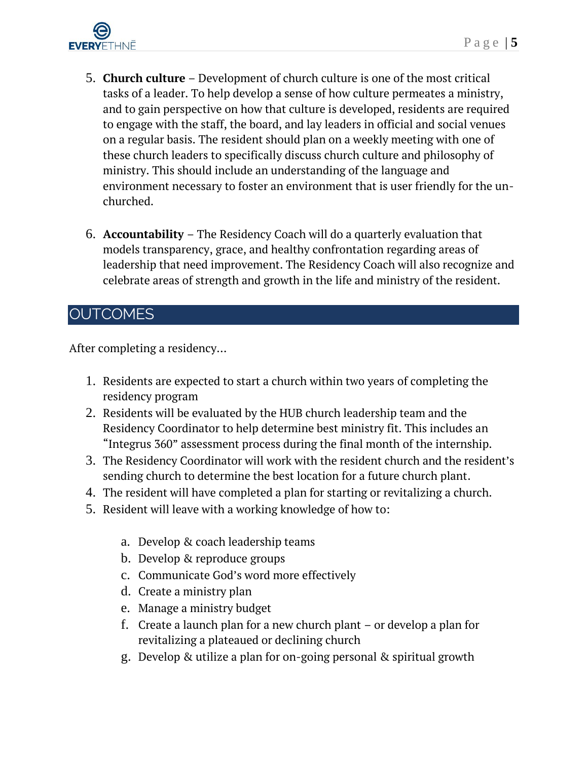

- 5. **Church culture** Development of church culture is one of the most critical tasks of a leader. To help develop a sense of how culture permeates a ministry, and to gain perspective on how that culture is developed, residents are required to engage with the staff, the board, and lay leaders in official and social venues on a regular basis. The resident should plan on a weekly meeting with one of these church leaders to specifically discuss church culture and philosophy of ministry. This should include an understanding of the language and environment necessary to foster an environment that is user friendly for the unchurched.
- 6. **Accountability**  The Residency Coach will do a quarterly evaluation that models transparency, grace, and healthy confrontation regarding areas of leadership that need improvement. The Residency Coach will also recognize and celebrate areas of strength and growth in the life and ministry of the resident.

## **OUTCOMES**

After completing a residency…

- 1. Residents are expected to start a church within two years of completing the residency program
- 2. Residents will be evaluated by the HUB church leadership team and the Residency Coordinator to help determine best ministry fit. This includes an "Integrus 360" assessment process during the final month of the internship.
- 3. The Residency Coordinator will work with the resident church and the resident's sending church to determine the best location for a future church plant.
- 4. The resident will have completed a plan for starting or revitalizing a church.
- 5. Resident will leave with a working knowledge of how to:
	- a. Develop & coach leadership teams
	- b. Develop & reproduce groups
	- c. Communicate God's word more effectively
	- d. Create a ministry plan
	- e. Manage a ministry budget
	- f. Create a launch plan for a new church plant or develop a plan for revitalizing a plateaued or declining church
	- g. Develop & utilize a plan for on-going personal & spiritual growth